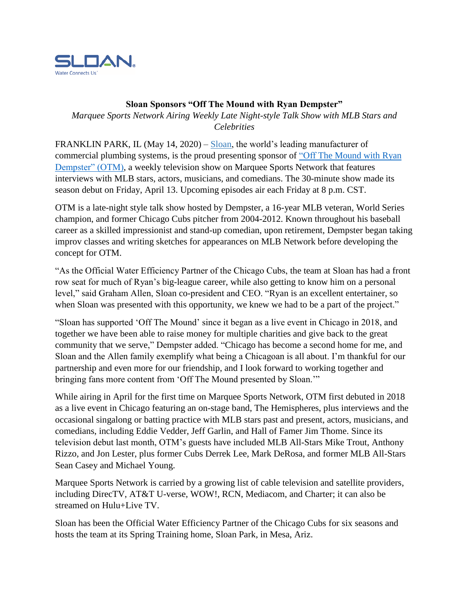

## **Sloan Sponsors "Off The Mound with Ryan Dempster"**

*Marquee Sports Network Airing Weekly Late Night-style Talk Show with MLB Stars and Celebrities*

FRANKLIN PARK, IL (May 14, 2020) – [Sloan,](https://www.sloan.com/?utm_source=BusinessWire&utm_medium=Press-release&utm_content=sloan-park-pr&utm_campaign=2016-public-relations) the world's leading manufacturer of commercial plumbing systems, is the proud presenting sponsor of ["Off The Mound with Ryan](https://offthemound.com/)  [Dempster" \(OTM\),](https://offthemound.com/) a weekly television show on Marquee Sports Network that features interviews with MLB stars, actors, musicians, and comedians. The 30-minute show made its season debut on Friday, April 13. Upcoming episodes air each Friday at 8 p.m. CST.

OTM is a late-night style talk show hosted by Dempster, a 16-year MLB veteran, World Series champion, and former Chicago Cubs pitcher from 2004-2012. Known throughout his baseball career as a skilled impressionist and stand-up comedian, upon retirement, Dempster began taking improv classes and writing sketches for appearances on MLB Network before developing the concept for OTM.

"As the Official Water Efficiency Partner of the Chicago Cubs, the team at Sloan has had a front row seat for much of Ryan's big-league career, while also getting to know him on a personal level," said Graham Allen, Sloan co-president and CEO. "Ryan is an excellent entertainer, so when Sloan was presented with this opportunity, we knew we had to be a part of the project."

"Sloan has supported 'Off The Mound' since it began as a live event in Chicago in 2018, and together we have been able to raise money for multiple charities and give back to the great community that we serve," Dempster added. "Chicago has become a second home for me, and Sloan and the Allen family exemplify what being a Chicagoan is all about. I'm thankful for our partnership and even more for our friendship, and I look forward to working together and bringing fans more content from 'Off The Mound presented by Sloan.'"

While airing in April for the first time on Marquee Sports Network, OTM first debuted in 2018 as a live event in Chicago featuring an on-stage band, The Hemispheres, plus interviews and the occasional singalong or batting practice with MLB stars past and present, actors, musicians, and comedians, including Eddie Vedder, Jeff Garlin, and Hall of Famer Jim Thome. Since its television debut last month, OTM's guests have included MLB All-Stars Mike Trout, Anthony Rizzo, and Jon Lester, plus former Cubs Derrek Lee, Mark DeRosa, and former MLB All-Stars Sean Casey and Michael Young.

Marquee Sports Network is carried by a growing list of cable television and satellite providers, including DirecTV, AT&T U-verse, WOW!, RCN, Mediacom, and Charter; it can also be streamed on Hulu+Live TV.

Sloan has been the Official Water Efficiency Partner of the Chicago Cubs for six seasons and hosts the team at its Spring Training home, Sloan Park, in Mesa, Ariz.